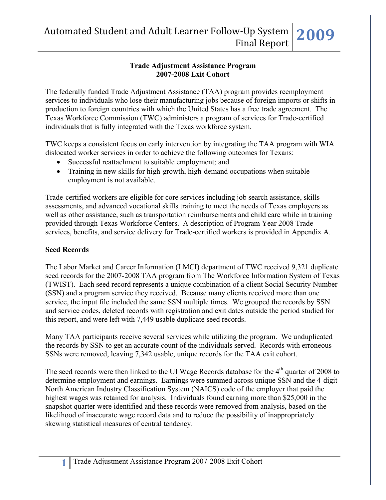#### **Trade Adjustment Assistance Program 2007-2008 Exit Cohort**

The federally funded Trade Adjustment Assistance (TAA) program provides reemployment services to individuals who lose their manufacturing jobs because of foreign imports or shifts in production to foreign countries with which the United States has a free trade agreement. The Texas Workforce Commission (TWC) administers a program of services for Trade-certified individuals that is fully integrated with the Texas workforce system.

TWC keeps a consistent focus on early intervention by integrating the TAA program with WIA dislocated worker services in order to achieve the following outcomes for Texans:

- Successful reattachment to suitable employment; and
- Training in new skills for high-growth, high-demand occupations when suitable employment is not available.

Trade-certified workers are eligible for core services including job search assistance, skills assessments, and advanced vocational skills training to meet the needs of Texas employers as well as other assistance, such as transportation reimbursements and child care while in training provided through Texas Workforce Centers. A description of Program Year 2008 Trade services, benefits, and service delivery for Trade-certified workers is provided in Appendix A.

### **Seed Records**

The Labor Market and Career Information (LMCI) department of TWC received 9,321 duplicate seed records for the 2007-2008 TAA program from The Workforce Information System of Texas (TWIST). Each seed record represents a unique combination of a client Social Security Number (SSN) and a program service they received. Because many clients received more than one service, the input file included the same SSN multiple times. We grouped the records by SSN and service codes, deleted records with registration and exit dates outside the period studied for this report, and were left with 7,449 usable duplicate seed records.

Many TAA participants receive several services while utilizing the program. We unduplicated the records by SSN to get an accurate count of the individuals served. Records with erroneous SSNs were removed, leaving 7,342 usable, unique records for the TAA exit cohort.

The seed records were then linked to the UI Wage Records database for the  $4<sup>th</sup>$  quarter of 2008 to determine employment and earnings. Earnings were summed across unique SSN and the 4-digit North American Industry Classification System (NAICS) code of the employer that paid the highest wages was retained for analysis. Individuals found earning more than \$25,000 in the snapshot quarter were identified and these records were removed from analysis, based on the likelihood of inaccurate wage record data and to reduce the possibility of inappropriately skewing statistical measures of central tendency.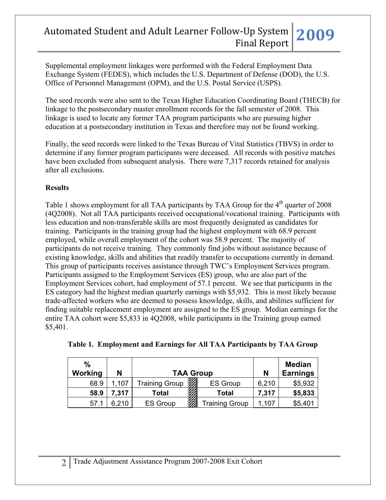Supplemental employment linkages were performed with the Federal Employment Data Exchange System (FEDES), which includes the U.S. Department of Defense (DOD), the U.S. Office of Personnel Management (OPM), and the U.S. Postal Service (USPS).

The seed records were also sent to the Texas Higher Education Coordinating Board (THECB) for linkage to the postsecondary master enrollment records for the fall semester of 2008. This linkage is used to locate any former TAA program participants who are pursuing higher education at a postsecondary institution in Texas and therefore may not be found working.

Finally, the seed records were linked to the Texas Bureau of Vital Statistics (TBVS) in order to determine if any former program participants were deceased. All records with positive matches have been excluded from subsequent analysis. There were 7,317 records retained for analysis after all exclusions.

### **Results**

Table 1 shows employment for all TAA participants by TAA Group for the  $4<sup>th</sup>$  quarter of 2008 (4Q2008). Not all TAA participants received occupational/vocational training. Participants with less education and non-transferable skills are most frequently designated as candidates for training. Participants in the training group had the highest employment with 68.9 percent employed, while overall employment of the cohort was 58.9 percent. The majority of participants do not receive training. They commonly find jobs without assistance because of existing knowledge, skills and abilities that readily transfer to occupations currently in demand. This group of participants receives assistance through TWC's Employment Services program. Participants assigned to the Employment Services (ES) group, who are also part of the Employment Services cohort, had employment of 57.1 percent. We see that participants in the ES category had the highest median quarterly earnings with \$5,932. This is most likely because trade-affected workers who are deemed to possess knowledge, skills, and abilities sufficient for finding suitable replacement employment are assigned to the ES group. Median earnings for the entire TAA cohort were \$5,833 in 4Q2008, while participants in the Training group earned \$5,401.

| $\frac{0}{0}$<br>Working | N     | <b>TAA Group</b>      | N                                 | <b>Median</b><br><b>Earnings</b> |         |
|--------------------------|-------|-----------------------|-----------------------------------|----------------------------------|---------|
| 68.9                     | 1,107 | <b>Training Group</b> | <b>CONTROL</b><br><b>ES Group</b> | 6,210                            | \$5,932 |
| 58.9                     | 7,317 | Total                 | <b>Total</b>                      | 7,317                            | \$5,833 |
| 57.1                     | 6,210 | <b>ES Group</b>       | <b>Training Group</b>             | 1,107                            | \$5,401 |

|  | Table 1. Employment and Earnings for All TAA Participants by TAA Group |  |
|--|------------------------------------------------------------------------|--|
|  |                                                                        |  |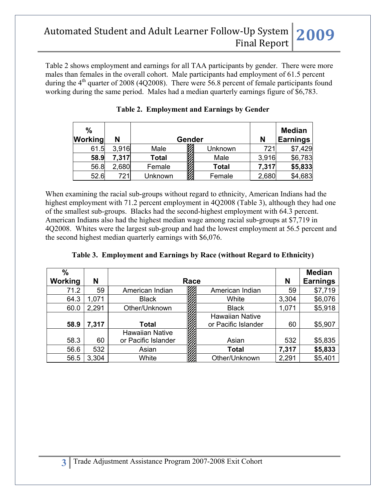Table 2 shows employment and earnings for all TAA participants by gender. There were more males than females in the overall cohort. Male participants had employment of 61.5 percent during the  $4<sup>th</sup>$  quarter of 2008 (4Q2008). There were 56.8 percent of female participants found working during the same period. Males had a median quarterly earnings figure of \$6,783.

| $\%$<br>Working | N     |              | Gender |              | N     | <b>Median</b><br><b>Earnings</b> |
|-----------------|-------|--------------|--------|--------------|-------|----------------------------------|
| 61.5            | 3,916 | Male         |        | Unknown      | 721   | \$7,429                          |
| 58.9            | 7,317 | <b>Total</b> |        | Male         | 3,916 | \$6,783                          |
| 56.8            | 2,680 | Female       |        | <b>Total</b> | 7,317 | \$5,833                          |
| 52.6            | 721   | Unknown      |        | Female       | 2,680 | \$4,683                          |

When examining the racial sub-groups without regard to ethnicity, American Indians had the highest employment with 71.2 percent employment in 4Q2008 (Table 3), although they had one of the smallest sub-groups. Blacks had the second-highest employment with 64.3 percent. American Indians also had the highest median wage among racial sub-groups at \$7,719 in 4Q2008. Whites were the largest sub-group and had the lowest employment at 56.5 percent and the second highest median quarterly earnings with \$6,076.

| $\frac{0}{0}$  |       |                        |                        |       | <b>Median</b>   |
|----------------|-------|------------------------|------------------------|-------|-----------------|
| <b>Working</b> | N     | Race                   |                        |       | <b>Earnings</b> |
| 71.2           | 59    | American Indian        | American Indian        | 59    | \$7,719         |
| 64.3           | 1,071 | <b>Black</b>           | White                  | 3,304 | \$6,076         |
| 60.0           | 2,291 | Other/Unknown          | <b>Black</b>           | 1,071 | \$5,918         |
|                |       |                        | <b>Hawaiian Native</b> |       |                 |
| 58.9           | 7,317 | Total                  | or Pacific Islander    | 60    | \$5,907         |
|                |       | <b>Hawaiian Native</b> |                        |       |                 |
| 58.3           | 60    | or Pacific Islander    | Asian                  | 532   | \$5,835         |
| 56.6           | 532   | Asian                  | <b>Total</b>           | 7,317 | \$5,833         |
| 56.5           | 3,304 | White                  | Other/Unknown          | 2,291 | \$5,401         |

| Table 3. Employment and Earnings by Race (without Regard to Ethnicity) |  |  |  |
|------------------------------------------------------------------------|--|--|--|
|                                                                        |  |  |  |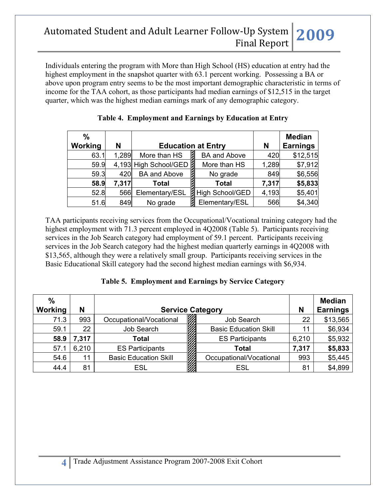Individuals entering the program with More than High School (HS) education at entry had the highest employment in the snapshot quarter with 63.1 percent working. Possessing a BA or above upon program entry seems to be the most important demographic characteristic in terms of income for the TAA cohort, as those participants had median earnings of \$12,515 in the target quarter, which was the highest median earnings mark of any demographic category.

| $\frac{0}{0}$ |       |                       |                           |       | <b>Median</b>   |
|---------------|-------|-----------------------|---------------------------|-------|-----------------|
| Working       | N     |                       | <b>Education at Entry</b> | N     | <b>Earnings</b> |
| 63.1          | 1,289 | More than HS          | <b>BA and Above</b>       | 420   | \$12,515        |
| 59.9          |       | 4,193 High School/GED | More than HS              | 1,289 | \$7,912         |
| 59.3          | 420   | <b>BA and Above</b>   | No grade                  | 849   | \$6,556         |
| 58.9          | 7,317 | <b>Total</b>          | <b>Total</b>              | 7,317 | \$5,833         |
| 52.8          | 566   | Elementary/ESL        | High School/GED           | 4,193 | \$5,401         |
| 51.6          | 849   | No grade              | Elementary/ESL            | 566   | \$4,340         |

|  | Table 4. Employment and Earnings by Education at Entry |  |
|--|--------------------------------------------------------|--|
|  |                                                        |  |

TAA participants receiving services from the Occupational/Vocational training category had the highest employment with 71.3 percent employed in 4Q2008 (Table 5). Participants receiving services in the Job Search category had employment of 59.1 percent. Participants receiving services in the Job Search category had the highest median quarterly earnings in 4Q2008 with \$13,565, although they were a relatively small group. Participants receiving services in the Basic Educational Skill category had the second highest median earnings with \$6,934.

|  |  | Table 5. Employment and Earnings by Service Category |  |  |
|--|--|------------------------------------------------------|--|--|
|--|--|------------------------------------------------------|--|--|

| $\frac{0}{0}$<br><b>Working</b> | N     | <b>Service Category</b>      |                              |       | <b>Median</b><br><b>Earnings</b> |
|---------------------------------|-------|------------------------------|------------------------------|-------|----------------------------------|
| 71.3                            | 993   | Occupational/Vocational      | Job Search                   | 22    | \$13,565                         |
| 59.1                            | 22    | Job Search                   | <b>Basic Education Skill</b> | 11    | \$6,934                          |
| 58.9                            | 7,317 | Total                        | <b>ES Participants</b>       | 6,210 | \$5,932                          |
| 57.1                            | 6,210 | <b>ES Participants</b>       | Total                        | 7,317 | \$5,833                          |
| 54.6                            | 11    | <b>Basic Education Skill</b> | Occupational/Vocational      | 993   | \$5,445                          |
| 44.4                            | 81    | ESL                          | ESL                          | 81    | \$4,899                          |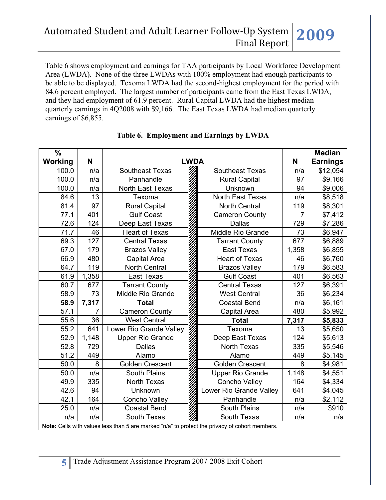Table 6 shows employment and earnings for TAA participants by Local Workforce Development Area (LWDA). None of the three LWDAs with 100% employment had enough participants to be able to be displayed. Texoma LWDA had the second-highest employment for the period with 84.6 percent employed. The largest number of participants came from the East Texas LWDA, and they had employment of 61.9 percent. Rural Capital LWDA had the highest median quarterly earnings in 4Q2008 with \$9,166. The East Texas LWDA had median quarterly earnings of \$6,855.

| $\frac{0}{0}$  |                |                                                                                                |                         |                | <b>Median</b>   |
|----------------|----------------|------------------------------------------------------------------------------------------------|-------------------------|----------------|-----------------|
| <b>Working</b> | N              | <b>LWDA</b>                                                                                    |                         | N              | <b>Earnings</b> |
| 100.0          | n/a            | <b>Southeast Texas</b>                                                                         | <b>Southeast Texas</b>  | n/a            | \$12,054        |
| 100.0          | n/a            | Panhandle                                                                                      | <b>Rural Capital</b>    | 97             | \$9,166         |
| 100.0          | n/a            | North East Texas                                                                               | Unknown                 | 94             | \$9,006         |
| 84.6           | 13             | Texoma                                                                                         | North East Texas        | n/a            | \$8,518         |
| 81.4           | 97             | <b>Rural Capital</b>                                                                           | <b>North Central</b>    | 119            | \$8,301         |
| 77.1           | 401            | <b>Gulf Coast</b>                                                                              | <b>Cameron County</b>   | $\overline{7}$ | \$7,412         |
| 72.6           | 124            | Deep East Texas                                                                                | <b>Dallas</b>           | 729            | \$7,286         |
| 71.7           | 46             | <b>Heart of Texas</b>                                                                          | Middle Rio Grande       | 73             | \$6,947         |
| 69.3           | 127            | <b>Central Texas</b>                                                                           | <b>Tarrant County</b>   | 677            | \$6,889         |
| 67.0           | 179            | <b>Brazos Valley</b>                                                                           | <b>East Texas</b>       | 1,358          | \$6,855         |
| 66.9           | 480            | Capital Area                                                                                   | <b>Heart of Texas</b>   | 46             | \$6,760         |
| 64.7           | 119            | <b>North Central</b>                                                                           | <b>Brazos Valley</b>    | 179            | \$6,583         |
| 61.9           | 1,358          | <b>East Texas</b>                                                                              | <b>Gulf Coast</b>       | 401            | \$6,563         |
| 60.7           | 677            | <b>Tarrant County</b>                                                                          | <b>Central Texas</b>    | 127            | \$6,391         |
| 58.9           | 73             | Middle Rio Grande                                                                              | <b>West Central</b>     | 36             | \$6,234         |
| 58.9           | 7,317          | <b>Total</b>                                                                                   | <b>Coastal Bend</b>     | n/a            | \$6,161         |
| 57.1           | $\overline{7}$ | <b>Cameron County</b>                                                                          | Capital Area            | 480            | \$5,992         |
| 55.6           | 36             | <b>West Central</b>                                                                            | <b>Total</b>            | 7,317          | \$5,833         |
| 55.2           | 641            | Lower Rio Grande Valley                                                                        | Texoma                  | 13             | \$5,650         |
| 52.9           | 1,148          | <b>Upper Rio Grande</b>                                                                        | Deep East Texas         | 124            | \$5,613         |
| 52.8           | 729            | <b>Dallas</b>                                                                                  | North Texas             | 335            | \$5,546         |
| 51.2           | 449            | Alamo                                                                                          | Alamo                   | 449            | \$5,145         |
| 50.0           | 8              | <b>Golden Crescent</b>                                                                         | <b>Golden Crescent</b>  | 8              | \$4,981         |
| 50.0           | n/a            | <b>South Plains</b>                                                                            | <b>Upper Rio Grande</b> | 1,148          | \$4,551         |
| 49.9           | 335            | North Texas                                                                                    | Concho Valley           | 164            | \$4,334         |
| 42.6           | 94             | Unknown                                                                                        | Lower Rio Grande Valley | 641            | \$4,045         |
| 42.1           | 164            | <b>Concho Valley</b>                                                                           | Panhandle               | n/a            | \$2,112         |
| 25.0           | n/a            | <b>Coastal Bend</b>                                                                            | South Plains            | n/a            | \$910           |
| n/a            | n/a            | South Texas                                                                                    | South Texas             | n/a            | n/a             |
|                |                | Note: Cells with values less than 5 are marked "n/a" to protect the privacy of cohort members. |                         |                |                 |

### **Table 6. Employment and Earnings by LWDA**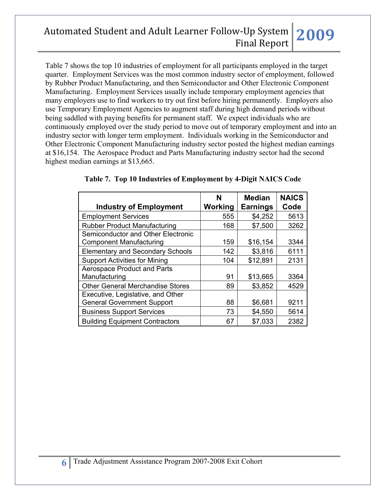Table 7 shows the top 10 industries of employment for all participants employed in the target quarter. Employment Services was the most common industry sector of employment, followed by Rubber Product Manufacturing, and then Semiconductor and Other Electronic Component Manufacturing. Employment Services usually include temporary employment agencies that many employers use to find workers to try out first before hiring permanently. Employers also use Temporary Employment Agencies to augment staff during high demand periods without being saddled with paying benefits for permanent staff. We expect individuals who are continuously employed over the study period to move out of temporary employment and into an industry sector with longer term employment. Individuals working in the Semiconductor and Other Electronic Component Manufacturing industry sector posted the highest median earnings at \$16,154. The Aerospace Product and Parts Manufacturing industry sector had the second highest median earnings at \$13,665.

| <b>Industry of Employment</b>           | N<br>Working | <b>Median</b><br><b>Earnings</b> | <b>NAICS</b><br>Code |
|-----------------------------------------|--------------|----------------------------------|----------------------|
| <b>Employment Services</b>              | 555          | \$4,252                          | 5613                 |
| <b>Rubber Product Manufacturing</b>     | 168          | \$7,500                          | 3262                 |
| Semiconductor and Other Electronic      |              |                                  |                      |
| <b>Component Manufacturing</b>          | 159          | \$16,154                         | 3344                 |
| <b>Elementary and Secondary Schools</b> | 142          | \$3,816                          | 6111                 |
| <b>Support Activities for Mining</b>    | 104          | \$12,891                         | 2131                 |
| <b>Aerospace Product and Parts</b>      |              |                                  |                      |
| Manufacturing                           | 91           | \$13,665                         | 3364                 |
| <b>Other General Merchandise Stores</b> | 89           | \$3,852                          | 4529                 |
| Executive, Legislative, and Other       |              |                                  |                      |
| <b>General Government Support</b>       | 88           | \$6,681                          | 9211                 |
| <b>Business Support Services</b>        | 73           | \$4,550                          | 5614                 |
| <b>Building Equipment Contractors</b>   | 67           | \$7,033                          | 2382                 |

|  |  |  | Table 7. Top 10 Industries of Employment by 4-Digit NAICS Code |  |  |  |
|--|--|--|----------------------------------------------------------------|--|--|--|
|--|--|--|----------------------------------------------------------------|--|--|--|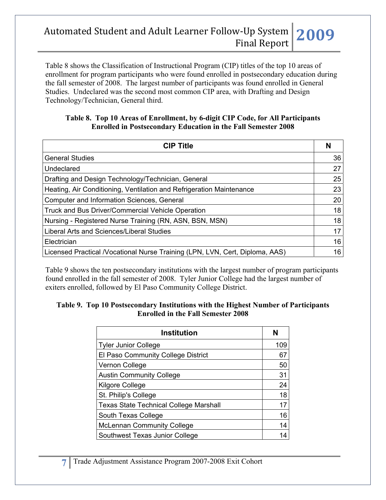Table 8 shows the Classification of Instructional Program (CIP) titles of the top 10 areas of enrollment for program participants who were found enrolled in postsecondary education during the fall semester of 2008. The largest number of participants was found enrolled in General Studies. Undeclared was the second most common CIP area, with Drafting and Design Technology/Technician, General third.

#### **Table 8. Top 10 Areas of Enrollment, by 6-digit CIP Code, for All Participants Enrolled in Postsecondary Education in the Fall Semester 2008**

| <b>CIP Title</b>                                                             | N  |
|------------------------------------------------------------------------------|----|
| <b>General Studies</b>                                                       | 36 |
| Undeclared                                                                   | 27 |
| Drafting and Design Technology/Technician, General                           | 25 |
| Heating, Air Conditioning, Ventilation and Refrigeration Maintenance         | 23 |
| <b>Computer and Information Sciences, General</b>                            | 20 |
| Truck and Bus Driver/Commercial Vehicle Operation                            | 18 |
| Nursing - Registered Nurse Training (RN, ASN, BSN, MSN)                      | 18 |
| Liberal Arts and Sciences/Liberal Studies                                    | 17 |
| Electrician                                                                  | 16 |
| Licensed Practical /Vocational Nurse Training (LPN, LVN, Cert, Diploma, AAS) | 16 |

Table 9 shows the ten postsecondary institutions with the largest number of program participants found enrolled in the fall semester of 2008. Tyler Junior College had the largest number of exiters enrolled, followed by El Paso Community College District.

#### **Table 9. Top 10 Postsecondary Institutions with the Highest Number of Participants Enrolled in the Fall Semester 2008**

| <b>Institution</b>                            | N   |
|-----------------------------------------------|-----|
| <b>Tyler Junior College</b>                   | 109 |
| El Paso Community College District            | 67  |
| Vernon College                                | 50  |
| <b>Austin Community College</b>               | 31  |
| Kilgore College                               | 24  |
| St. Philip's College                          | 18  |
| <b>Texas State Technical College Marshall</b> | 17  |
| South Texas College                           | 16  |
| <b>McLennan Community College</b>             | 14  |
| Southwest Texas Junior College                | 14  |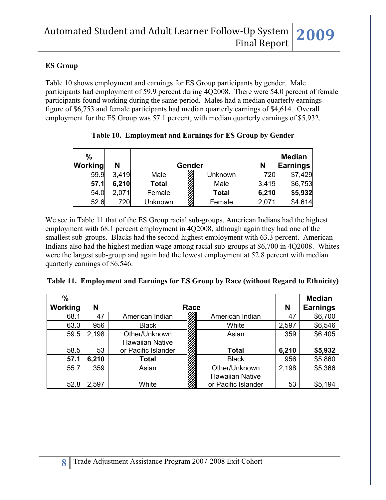### **ES Group**

Table 10 shows employment and earnings for ES Group participants by gender. Male participants had employment of 59.9 percent during 4Q2008. There were 54.0 percent of female participants found working during the same period. Males had a median quarterly earnings figure of \$6,753 and female participants had median quarterly earnings of \$4,614. Overall employment for the ES Group was 57.1 percent, with median quarterly earnings of \$5,932.

| $\frac{0}{0}$<br>Working | N     |              | Gender       | N     | <b>Median</b><br><b>Earnings</b> |
|--------------------------|-------|--------------|--------------|-------|----------------------------------|
| 59.9                     | 3,419 | Male         | Unknown      | 720   | \$7,429                          |
| 57.1                     | 6,210 | <b>Total</b> | Male         | 3,419 | \$6,753                          |
| 54.0                     | 2,071 | Female       | <b>Total</b> | 6,210 | \$5,932                          |
| 52.6                     | 720l  | Unknown      | Female       | 2,07  | \$4,614                          |

| Table 10. Employment and Earnings for ES Group by Gender |  |  |
|----------------------------------------------------------|--|--|
|                                                          |  |  |
|                                                          |  |  |

We see in Table 11 that of the ES Group racial sub-groups, American Indians had the highest employment with 68.1 percent employment in 4Q2008, although again they had one of the smallest sub-groups. Blacks had the second-highest employment with 63.3 percent. American Indians also had the highest median wage among racial sub-groups at \$6,700 in 4Q2008. Whites were the largest sub-group and again had the lowest employment at 52.8 percent with median quarterly earnings of \$6,546.

|  | Table 11. Employment and Earnings for ES Group by Race (without Regard to Ethnicity) |  |  |  |  |
|--|--------------------------------------------------------------------------------------|--|--|--|--|
|--|--------------------------------------------------------------------------------------|--|--|--|--|

| $\%$    |       |                        |      |                        |       | <b>Median</b>   |
|---------|-------|------------------------|------|------------------------|-------|-----------------|
| Working | N     |                        | Race |                        | N     | <b>Earnings</b> |
| 68.1    | 47    | American Indian        |      | American Indian        | 47    | \$6,700         |
| 63.3    | 956   | <b>Black</b>           |      | White                  | 2,597 | \$6,546         |
| 59.5    | 2,198 | Other/Unknown          |      | Asian                  | 359   | \$6,405         |
|         |       | <b>Hawaiian Native</b> |      |                        |       |                 |
| 58.5    | 53    | or Pacific Islander    |      | <b>Total</b>           | 6,210 | \$5,932         |
| 57.1    | 6,210 | Total                  |      | <b>Black</b>           | 956   | \$5,860         |
| 55.7    | 359   | Asian                  |      | Other/Unknown          | 2,198 | \$5,366         |
|         |       |                        |      | <b>Hawaiian Native</b> |       |                 |
| 52.8    | 2,597 | White                  |      | or Pacific Islander    | 53    | \$5,194         |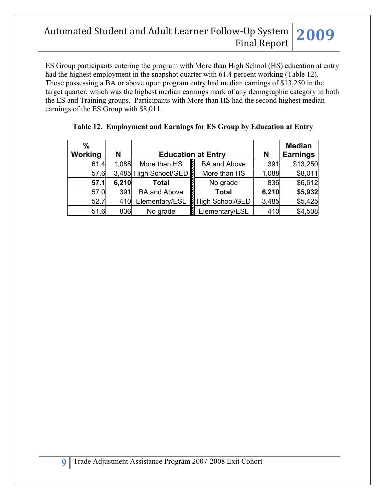ES Group participants entering the program with More than High School (HS) education at entry had the highest employment in the snapshot quarter with 61.4 percent working (Table 12). Those possessing a BA or above upon program entry had median earnings of \$13,250 in the target quarter, which was the highest median earnings mark of any demographic category in both the ES and Training groups. Participants with More than HS had the second highest median earnings of the ES Group with \$8,011.

| $\frac{0}{0}$ |       |                       |                           |       | <b>Median</b>   |
|---------------|-------|-----------------------|---------------------------|-------|-----------------|
| Working       | N     |                       | <b>Education at Entry</b> | N     | <b>Earnings</b> |
| 61.4          | 1,088 | More than HS          | <b>BA and Above</b>       | 391   | \$13,250        |
| 57.6          |       | 3,485 High School/GED | More than HS              | 1,088 | \$8,011         |
| 57.1          | 6,210 | Total                 | No grade                  | 836   | \$6,612         |
| 57.0          | 391   | <b>BA and Above</b>   | <b>Total</b>              | 6,210 | \$5,932         |
| 52.7          | 410   | Elementary/ESL        | <b>A</b> High School/GED  | 3,485 | \$5,425         |
| 51.6          | 836   | No grade              | Elementary/ESL            | 410   | \$4,508         |

### **Table 12. Employment and Earnings for ES Group by Education at Entry**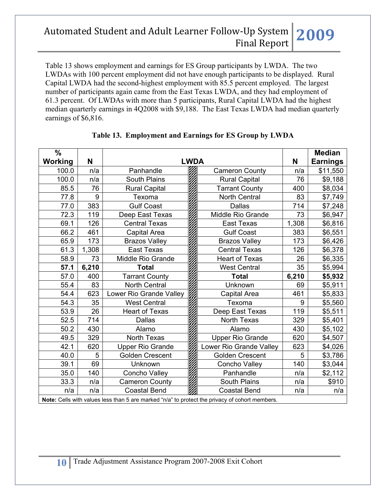Table 13 shows employment and earnings for ES Group participants by LWDA. The two LWDAs with 100 percent employment did not have enough participants to be displayed. Rural Capital LWDA had the second-highest employment with 85.5 percent employed. The largest number of participants again came from the East Texas LWDA, and they had employment of 61.3 percent. Of LWDAs with more than 5 participants, Rural Capital LWDA had the highest median quarterly earnings in 4Q2008 with \$9,188. The East Texas LWDA had median quarterly earnings of \$6,816.

| $\frac{0}{0}$<br>Working | N     |                                                                                                | <b>LWDA</b> |                         | N     | <b>Median</b><br><b>Earnings</b> |
|--------------------------|-------|------------------------------------------------------------------------------------------------|-------------|-------------------------|-------|----------------------------------|
| 100.0                    | n/a   | Panhandle                                                                                      |             | <b>Cameron County</b>   | n/a   | \$11,550                         |
| 100.0                    | n/a   | South Plains                                                                                   |             | <b>Rural Capital</b>    | 76    | \$9,188                          |
| 85.5                     | 76    | <b>Rural Capital</b>                                                                           |             | <b>Tarrant County</b>   | 400   | \$8,034                          |
| 77.8                     | 9     | Texoma                                                                                         |             | <b>North Central</b>    | 83    | \$7,749                          |
| 77.0                     | 383   | <b>Gulf Coast</b>                                                                              |             | <b>Dallas</b>           | 714   | \$7,248                          |
| 72.3                     | 119   | Deep East Texas                                                                                |             | Middle Rio Grande       | 73    | \$6,947                          |
| 69.1                     | 126   | <b>Central Texas</b>                                                                           |             | <b>East Texas</b>       | 1,308 | \$6,816                          |
| 66.2                     | 461   | <b>Capital Area</b>                                                                            |             | <b>Gulf Coast</b>       | 383   | \$6,551                          |
| 65.9                     | 173   | <b>Brazos Valley</b>                                                                           |             | <b>Brazos Valley</b>    | 173   | \$6,426                          |
| 61.3                     | 1,308 | East Texas                                                                                     |             | <b>Central Texas</b>    | 126   | \$6,378                          |
| 58.9                     | 73    | Middle Rio Grande                                                                              |             | <b>Heart of Texas</b>   | 26    | \$6,335                          |
| 57.1                     | 6,210 | <b>Total</b>                                                                                   |             | <b>West Central</b>     | 35    | \$5,994                          |
| 57.0                     | 400   | <b>Tarrant County</b>                                                                          |             | <b>Total</b>            | 6,210 | \$5,932                          |
| 55.4                     | 83    | North Central                                                                                  |             | Unknown                 | 69    | \$5,911                          |
| 54.4                     | 623   | Lower Rio Grande Valley                                                                        |             | Capital Area            | 461   | \$5,833                          |
| 54.3                     | 35    | <b>West Central</b>                                                                            |             | Texoma                  | 9     | \$5,560                          |
| 53.9                     | 26    | <b>Heart of Texas</b>                                                                          |             | Deep East Texas         | 119   | \$5,511                          |
| 52.5                     | 714   | <b>Dallas</b>                                                                                  |             | North Texas             | 329   | \$5,401                          |
| 50.2                     | 430   | Alamo                                                                                          |             | Alamo                   | 430   | \$5,102                          |
| 49.5                     | 329   | North Texas                                                                                    |             | <b>Upper Rio Grande</b> | 620   | \$4,507                          |
| 42.1                     | 620   | <b>Upper Rio Grande</b>                                                                        |             | Lower Rio Grande Valley | 623   | \$4,026                          |
| 40.0                     | 5     | <b>Golden Crescent</b>                                                                         |             | <b>Golden Crescent</b>  | 5     | \$3,786                          |
| 39.1                     | 69    | Unknown                                                                                        |             | <b>Concho Valley</b>    | 140   | \$3,044                          |
| 35.0                     | 140   | Concho Valley                                                                                  |             | Panhandle               | n/a   | \$2,112                          |
| 33.3                     | n/a   | <b>Cameron County</b>                                                                          |             | <b>South Plains</b>     | n/a   | \$910                            |
| n/a                      | n/a   | <b>Coastal Bend</b>                                                                            |             | <b>Coastal Bend</b>     | n/a   | n/a                              |
|                          |       | Note: Cells with values less than 5 are marked "n/a" to protect the privacy of cohort members. |             |                         |       |                                  |

## **Table 13. Employment and Earnings for ES Group by LWDA**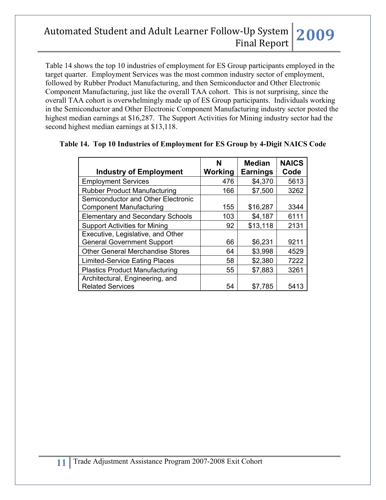Table 14 shows the top 10 industries of employment for ES Group participants employed in the target quarter. Employment Services was the most common industry sector of employment, followed by Rubber Product Manufacturing, and then Semiconductor and Other Electronic Component Manufacturing, just like the overall TAA cohort. This is not surprising, since the overall TAA cohort is overwhelmingly made up of ES Group participants. Individuals working in the Semiconductor and Other Electronic Component Manufacturing industry sector posted the highest median earnings at \$16,287. The Support Activities for Mining industry sector had the second highest median earnings at \$13,118.

|                                         | N       | <b>Median</b>   | <b>NAICS</b> |
|-----------------------------------------|---------|-----------------|--------------|
| <b>Industry of Employment</b>           | Working | <b>Earnings</b> | Code         |
| <b>Employment Services</b>              | 476     | \$4,370         | 5613         |
| <b>Rubber Product Manufacturing</b>     | 166     | \$7,500         | 3262         |
| Semiconductor and Other Electronic      |         |                 |              |
| <b>Component Manufacturing</b>          | 155     | \$16,287        | 3344         |
| <b>Elementary and Secondary Schools</b> | 103     | \$4,187         | 6111         |
| <b>Support Activities for Mining</b>    | 92      | \$13,118        | 2131         |
| Executive, Legislative, and Other       |         |                 |              |
| <b>General Government Support</b>       | 66      | \$6,231         | 9211         |
| <b>Other General Merchandise Stores</b> | 64      | \$3,998         | 4529         |
| <b>Limited-Service Eating Places</b>    | 58      | \$2,380         | 7222         |
| <b>Plastics Product Manufacturing</b>   | 55      | \$7,883         | 3261         |
| Architectural, Engineering, and         |         |                 |              |
| <b>Related Services</b>                 | 54      | \$7,785         | 5413         |

#### **Table 14. Top 10 Industries of Employment for ES Group by 4-Digit NAICS Code**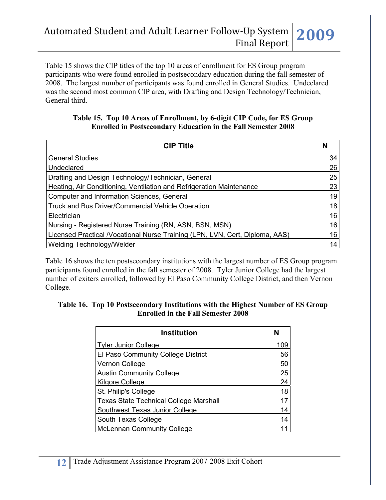Table 15 shows the CIP titles of the top 10 areas of enrollment for ES Group program participants who were found enrolled in postsecondary education during the fall semester of 2008. The largest number of participants was found enrolled in General Studies. Undeclared was the second most common CIP area, with Drafting and Design Technology/Technician, General third.

#### **Table 15. Top 10 Areas of Enrollment, by 6-digit CIP Code, for ES Group Enrolled in Postsecondary Education in the Fall Semester 2008**

| <b>CIP Title</b>                                                             | N  |
|------------------------------------------------------------------------------|----|
| <b>General Studies</b>                                                       | 34 |
| Undeclared                                                                   | 26 |
| Drafting and Design Technology/Technician, General                           | 25 |
| Heating, Air Conditioning, Ventilation and Refrigeration Maintenance         | 23 |
| <b>Computer and Information Sciences, General</b>                            | 19 |
| Truck and Bus Driver/Commercial Vehicle Operation                            | 18 |
| Electrician                                                                  | 16 |
| Nursing - Registered Nurse Training (RN, ASN, BSN, MSN)                      | 16 |
| Licensed Practical /Vocational Nurse Training (LPN, LVN, Cert, Diploma, AAS) | 16 |
| Welding Technology/Welder                                                    | 14 |

Table 16 shows the ten postsecondary institutions with the largest number of ES Group program participants found enrolled in the fall semester of 2008. Tyler Junior College had the largest number of exiters enrolled, followed by El Paso Community College District, and then Vernon College.

#### **Table 16. Top 10 Postsecondary Institutions with the Highest Number of ES Group Enrolled in the Fall Semester 2008**

| <b>Institution</b>                            | N   |
|-----------------------------------------------|-----|
| <b>Tyler Junior College</b>                   | 109 |
| El Paso Community College District            | 56  |
| Vernon College                                | 50  |
| <b>Austin Community College</b>               | 25  |
| Kilgore College                               | 24  |
| St. Philip's College                          | 18  |
| <b>Texas State Technical College Marshall</b> | 17  |
| Southwest Texas Junior College                | 14  |
| South Texas College                           | 14  |
| <b>McLennan Community College</b>             |     |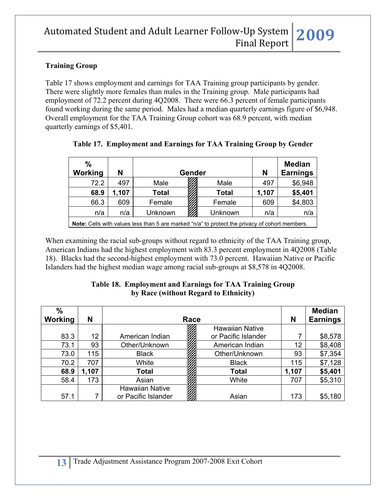### **Training Group**

Table 17 shows employment and earnings for TAA Training group participants by gender. There were slightly more females than males in the Training group. Male participants had employment of 72.2 percent during 4Q2008. There were 66.3 percent of female participants found working during the same period. Males had a median quarterly earnings figure of \$6,948. Overall employment for the TAA Training Group cohort was 68.9 percent, with median quarterly earnings of \$5,401.

| %                                                                                                     |       |         |  |              |                 | <b>Median</b> |
|-------------------------------------------------------------------------------------------------------|-------|---------|--|--------------|-----------------|---------------|
| Working                                                                                               | N     | Gender  |  | N            | <b>Earnings</b> |               |
| 72.2                                                                                                  | 497   | Male    |  | Male         | 497             | \$6,948       |
| 68.9                                                                                                  | 1,107 | Total   |  | <b>Total</b> | 1,107           | \$5,401       |
| 66.3                                                                                                  | 609   | Female  |  | Female       | 609             | \$4,803       |
| n/a                                                                                                   | n/a   | Unknown |  | Unknown      | n/a             | n/a           |
| <b>Note:</b> Cells with values less than 5 are marked "n/a" to protect the privacy of cohort members. |       |         |  |              |                 |               |

|  |  |  | Table 17. Employment and Earnings for TAA Training Group by Gender |
|--|--|--|--------------------------------------------------------------------|
|--|--|--|--------------------------------------------------------------------|

When examining the racial sub-groups without regard to ethnicity of the TAA Training group, American Indians had the highest employment with 83.3 percent employment in 4Q2008 (Table 18). Blacks had the second-highest employment with 73.0 percent. Hawaiian Native or Pacific Islanders had the highest median wage among racial sub-groups at \$8,578 in 4Q2008.

#### **Table 18. Employment and Earnings for TAA Training Group by Race (without Regard to Ethnicity)**

| $\%$<br>Working | N     |                        | Race |                        | N     | <b>Median</b><br><b>Earnings</b> |
|-----------------|-------|------------------------|------|------------------------|-------|----------------------------------|
|                 |       |                        |      | <b>Hawaiian Native</b> |       |                                  |
| 83.3            | 12    | American Indian        |      | or Pacific Islander    |       | \$8,578                          |
| 73.1            | 93    | Other/Unknown          |      | American Indian        | 12    | \$8,408                          |
| 73.0            | 115   | <b>Black</b>           |      | Other/Unknown          | 93    | \$7,354                          |
| 70.2            | 707   | White                  |      | <b>Black</b>           | 115   | \$7,128                          |
| 68.9            | 1,107 | <b>Total</b>           |      | <b>Total</b>           | 1,107 | \$5,401                          |
| 58.4            | 173   | Asian                  |      | White                  | 707   | \$5,310                          |
|                 |       | <b>Hawaiian Native</b> |      |                        |       |                                  |
| 57.1            |       | or Pacific Islander    |      | Asian                  | 173   | \$5,180                          |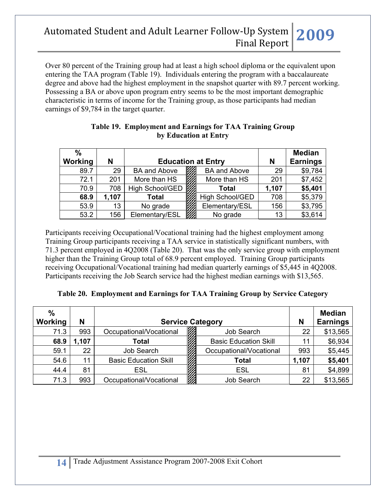Over 80 percent of the Training group had at least a high school diploma or the equivalent upon entering the TAA program (Table 19). Individuals entering the program with a baccalaureate degree and above had the highest employment in the snapshot quarter with 89.7 percent working. Possessing a BA or above upon program entry seems to be the most important demographic characteristic in terms of income for the Training group, as those participants had median earnings of \$9,784 in the target quarter.

| $\frac{0}{0}$<br><b>Working</b> | N     | <b>Education at Entry</b> |                     | N     | <b>Median</b><br><b>Earnings</b> |
|---------------------------------|-------|---------------------------|---------------------|-------|----------------------------------|
| 89.7                            | 29    | <b>BA and Above</b>       | <b>BA and Above</b> | 29    | \$9,784                          |
| 72.1                            | 201   | More than HS              | More than HS        | 201   | \$7,452                          |
| 70.9                            | 708   | High School/GED           | Total               | 1,107 | \$5,401                          |
| 68.9                            | 1,107 | <b>Total</b>              | High School/GED     | 708   | \$5,379                          |
| 53.9                            | 13    | No grade                  | Elementary/ESL      | 156   | \$3,795                          |
| 53.2                            | 156   | Elementary/ESL            | No grade            | 13    | \$3,614                          |

### **Table 19. Employment and Earnings for TAA Training Group by Education at Entry**

Participants receiving Occupational/Vocational training had the highest employment among Training Group participants receiving a TAA service in statistically significant numbers, with 71.3 percent employed in 4Q2008 (Table 20). That was the only service group with employment higher than the Training Group total of 68.9 percent employed. Training Group participants receiving Occupational/Vocational training had median quarterly earnings of \$5,445 in 4Q2008. Participants receiving the Job Search service had the highest median earnings with \$13,565.

### **Table 20. Employment and Earnings for TAA Training Group by Service Category**

| $\frac{0}{0}$<br>Working | N    | <b>Service Category</b>      |                              | N     | <b>Median</b><br><b>Earnings</b> |
|--------------------------|------|------------------------------|------------------------------|-------|----------------------------------|
| 71.3                     | 993  | Occupational/Vocational      | Job Search                   | 22    | \$13,565                         |
| 68.9                     | ,107 | <b>Total</b>                 | <b>Basic Education Skill</b> | 11    | \$6,934                          |
| 59.1                     | 22   | Job Search                   | Occupational/Vocational      | 993   | \$5,445                          |
| 54.6                     | 11   | <b>Basic Education Skill</b> | <b>Total</b>                 | 1,107 | \$5,401                          |
| 44.4                     | 81   | <b>ESL</b>                   | <b>ESL</b>                   | 81    | \$4,899                          |
| 71.3                     | 993  | Occupational/Vocational      | Job Search                   | 22    | \$13,565                         |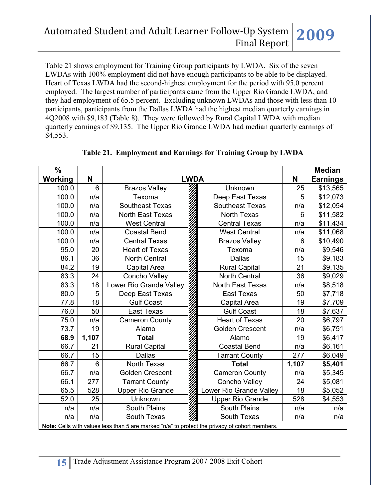Table 21 shows employment for Training Group participants by LWDA. Six of the seven LWDAs with 100% employment did not have enough participants to be able to be displayed. Heart of Texas LWDA had the second-highest employment for the period with 95.0 percent employed. The largest number of participants came from the Upper Rio Grande LWDA, and they had employment of 65.5 percent. Excluding unknown LWDAs and those with less than 10 participants, participants from the Dallas LWDA had the highest median quarterly earnings in 4Q2008 with \$9,183 (Table 8). They were followed by Rural Capital LWDA with median quarterly earnings of \$9,135. The Upper Rio Grande LWDA had median quarterly earnings of \$4,553.

| $\frac{0}{0}$                                                                                  |                |                         |             |                         |       | <b>Median</b>   |  |
|------------------------------------------------------------------------------------------------|----------------|-------------------------|-------------|-------------------------|-------|-----------------|--|
| Working                                                                                        | N              |                         | <b>LWDA</b> |                         | N     | <b>Earnings</b> |  |
| 100.0                                                                                          | $6\phantom{1}$ | <b>Brazos Valley</b>    |             | Unknown                 | 25    | \$13,565        |  |
| 100.0                                                                                          | n/a            | Texoma                  |             | Deep East Texas         | 5     | \$12,073        |  |
| 100.0                                                                                          | n/a            | <b>Southeast Texas</b>  |             | <b>Southeast Texas</b>  | n/a   | \$12,054        |  |
| 100.0                                                                                          | n/a            | North East Texas        |             | <b>North Texas</b>      | 6     | \$11,582        |  |
| 100.0                                                                                          | n/a            | <b>West Central</b>     |             | <b>Central Texas</b>    | n/a   | \$11,434        |  |
| 100.0                                                                                          | n/a            | <b>Coastal Bend</b>     |             | <b>West Central</b>     | n/a   | \$11,068        |  |
| 100.0                                                                                          | n/a            | <b>Central Texas</b>    |             | <b>Brazos Valley</b>    | 6     | \$10,490        |  |
| 95.0                                                                                           | 20             | <b>Heart of Texas</b>   |             | Texoma                  | n/a   | \$9,546         |  |
| 86.1                                                                                           | 36             | <b>North Central</b>    |             | <b>Dallas</b>           | 15    | \$9,183         |  |
| 84.2                                                                                           | 19             | Capital Area            |             | <b>Rural Capital</b>    | 21    | \$9,135         |  |
| 83.3                                                                                           | 24             | Concho Valley           |             | <b>North Central</b>    | 36    | \$9,029         |  |
| 83.3                                                                                           | 18             | Lower Rio Grande Valley |             | <b>North East Texas</b> | n/a   | \$8,518         |  |
| 80.0                                                                                           | 5              | Deep East Texas         |             | <b>East Texas</b>       | 50    | \$7,718         |  |
| 77.8                                                                                           | 18             | <b>Gulf Coast</b>       |             | Capital Area            | 19    | \$7,709         |  |
| 76.0                                                                                           | 50             | <b>East Texas</b>       |             | <b>Gulf Coast</b>       | 18    | \$7,637         |  |
| 75.0                                                                                           | n/a            | <b>Cameron County</b>   |             | <b>Heart of Texas</b>   | 20    | \$6,797         |  |
| 73.7                                                                                           | 19             | Alamo                   |             | <b>Golden Crescent</b>  | n/a   | \$6,751         |  |
| 68.9                                                                                           | 1,107          | <b>Total</b>            |             | Alamo                   | 19    | \$6,417         |  |
| 66.7                                                                                           | 21             | <b>Rural Capital</b>    |             | <b>Coastal Bend</b>     | n/a   | \$6,161         |  |
| 66.7                                                                                           | 15             | <b>Dallas</b>           |             | <b>Tarrant County</b>   | 277   | \$6,049         |  |
| 66.7                                                                                           | 6              | North Texas             |             | <b>Total</b>            | 1,107 | \$5,401         |  |
| 66.7                                                                                           | n/a            | <b>Golden Crescent</b>  |             | <b>Cameron County</b>   | n/a   | \$5,345         |  |
| 66.1                                                                                           | 277            | <b>Tarrant County</b>   |             | Concho Valley           | 24    | \$5,081         |  |
| 65.5                                                                                           | 528            | <b>Upper Rio Grande</b> |             | Lower Rio Grande Valley | 18    | \$5,052         |  |
| 52.0                                                                                           | 25             | Unknown                 |             | <b>Upper Rio Grande</b> | 528   | \$4,553         |  |
| n/a                                                                                            | n/a            | South Plains            |             | <b>South Plains</b>     | n/a   | n/a             |  |
| n/a                                                                                            | n/a            | South Texas             |             | South Texas             | n/a   | n/a             |  |
| Note: Cells with values less than 5 are marked "n/a" to protect the privacy of cohort members. |                |                         |             |                         |       |                 |  |

## **Table 21. Employment and Earnings for Training Group by LWDA**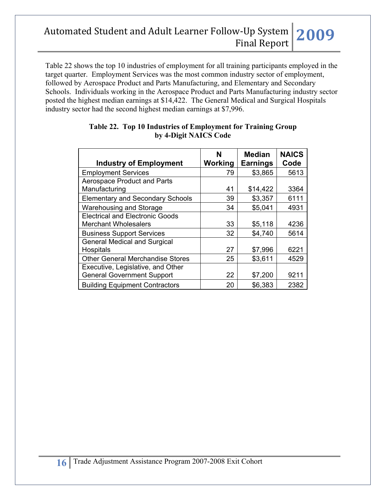Table 22 shows the top 10 industries of employment for all training participants employed in the target quarter. Employment Services was the most common industry sector of employment, followed by Aerospace Product and Parts Manufacturing, and Elementary and Secondary Schools. Individuals working in the Aerospace Product and Parts Manufacturing industry sector posted the highest median earnings at \$14,422. The General Medical and Surgical Hospitals industry sector had the second highest median earnings at \$7,996.

| <b>Industry of Employment</b>                                         | N<br>Working | <b>Median</b><br><b>Earnings</b> | <b>NAICS</b><br>Code |
|-----------------------------------------------------------------------|--------------|----------------------------------|----------------------|
| <b>Employment Services</b>                                            | 79           | \$3,865                          | 5613                 |
| <b>Aerospace Product and Parts</b>                                    |              |                                  |                      |
| Manufacturing                                                         | 41           | \$14,422                         | 3364                 |
| <b>Elementary and Secondary Schools</b>                               | 39           | \$3,357                          | 6111                 |
| Warehousing and Storage                                               | 34           | \$5,041                          | 4931                 |
| <b>Electrical and Electronic Goods</b><br><b>Merchant Wholesalers</b> | 33           | \$5,118                          | 4236                 |
| <b>Business Support Services</b>                                      | 32           | \$4,740                          | 5614                 |
| <b>General Medical and Surgical</b>                                   |              |                                  |                      |
| Hospitals                                                             | 27           | \$7,996                          | 6221                 |
| <b>Other General Merchandise Stores</b>                               | 25           | \$3,611                          | 4529                 |
| Executive, Legislative, and Other                                     |              |                                  |                      |
| <b>General Government Support</b>                                     | 22           | \$7,200                          | 9211                 |
| <b>Building Equipment Contractors</b>                                 | 20           | \$6,383                          | 2382                 |

#### **Table 22. Top 10 Industries of Employment for Training Group by 4-Digit NAICS Code**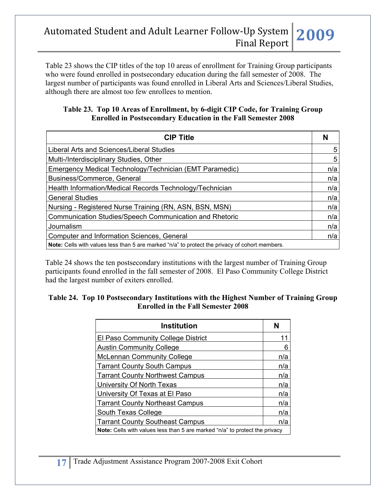Table 23 shows the CIP titles of the top 10 areas of enrollment for Training Group participants who were found enrolled in postsecondary education during the fall semester of 2008. The largest number of participants was found enrolled in Liberal Arts and Sciences/Liberal Studies, although there are almost too few enrollees to mention.

#### **Table 23. Top 10 Areas of Enrollment, by 6-digit CIP Code, for Training Group Enrolled in Postsecondary Education in the Fall Semester 2008**

| <b>CIP Title</b>                                                                               |     |
|------------------------------------------------------------------------------------------------|-----|
| Liberal Arts and Sciences/Liberal Studies                                                      | 5   |
| Multi-/Interdisciplinary Studies, Other                                                        | 5   |
| Emergency Medical Technology/Technician (EMT Paramedic)                                        | n/a |
| Business/Commerce, General                                                                     | n/a |
| Health Information/Medical Records Technology/Technician                                       | n/a |
| <b>General Studies</b>                                                                         | n/a |
| Nursing - Registered Nurse Training (RN, ASN, BSN, MSN)                                        | n/a |
| <b>Communication Studies/Speech Communication and Rhetoric</b>                                 | n/a |
| Journalism                                                                                     | n/a |
| Computer and Information Sciences, General                                                     | n/a |
| Note: Cells with values less than 5 are marked "n/a" to protect the privacy of cohort members. |     |

Table 24 shows the ten postsecondary institutions with the largest number of Training Group participants found enrolled in the fall semester of 2008. El Paso Community College District had the largest number of exiters enrolled.

#### **Table 24. Top 10 Postsecondary Institutions with the Highest Number of Training Group Enrolled in the Fall Semester 2008**

| <b>Institution</b>                                                                 | N   |  |  |
|------------------------------------------------------------------------------------|-----|--|--|
| El Paso Community College District                                                 | 11  |  |  |
| <b>Austin Community College</b>                                                    | 6   |  |  |
| <b>McLennan Community College</b>                                                  | n/a |  |  |
| <b>Tarrant County South Campus</b>                                                 | n/a |  |  |
| <b>Tarrant County Northwest Campus</b>                                             | n/a |  |  |
| University Of North Texas                                                          | n/a |  |  |
| University Of Texas at El Paso                                                     | n/a |  |  |
| <b>Tarrant County Northeast Campus</b>                                             | n/a |  |  |
| South Texas College                                                                | n/a |  |  |
| <b>Tarrant County Southeast Campus</b>                                             | n/a |  |  |
| <b>Note:</b> Cells with values less than 5 are marked "n/a" to protect the privacy |     |  |  |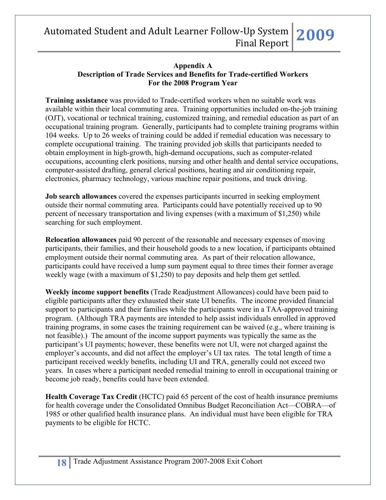#### **Appendix A Description of Trade Services and Benefits for Trade-certified Workers For the 2008 Program Year**

**Training assistance** was provided to Trade-certified workers when no suitable work was available within their local commuting area. Training opportunities included on-the-job training (OJT), vocational or technical training, customized training, and remedial education as part of an occupational training program. Generally, participants had to complete training programs within 104 weeks. Up to 26 weeks of training could be added if remedial education was necessary to complete occupational training. The training provided job skills that participants needed to obtain employment in high-growth, high-demand occupations, such as computer-related occupations, accounting clerk positions, nursing and other health and dental service occupations, computer-assisted drafting, general clerical positions, heating and air conditioning repair, electronics, pharmacy technology, various machine repair positions, and truck driving.

**Job search allowances** covered the expenses participants incurred in seeking employment outside their normal commuting area. Participants could have potentially received up to 90 percent of necessary transportation and living expenses (with a maximum of \$1,250) while searching for such employment.

**Relocation allowances** paid 90 percent of the reasonable and necessary expenses of moving participants, their families, and their household goods to a new location, if participants obtained employment outside their normal commuting area. As part of their relocation allowance, participants could have received a lump sum payment equal to three times their former average weekly wage (with a maximum of \$1,250) to pay deposits and help them get settled.

**Weekly income support benefits** (Trade Readjustment Allowances) could have been paid to eligible participants after they exhausted their state UI benefits. The income provided financial support to participants and their families while the participants were in a TAA-approved training program. (Although TRA payments are intended to help assist individuals enrolled in approved training programs, in some cases the training requirement can be waived (e.g., where training is not feasible).) The amount of the income support payments was typically the same as the participant's UI payments; however, these benefits were not UI, were not charged against the employer's accounts, and did not affect the employer's UI tax rates. The total length of time a participant received weekly benefits, including UI and TRA, generally could not exceed two years. In cases where a participant needed remedial training to enroll in occupational training or become job ready, benefits could have been extended.

**Health Coverage Tax Credit** (HCTC) paid 65 percent of the cost of health insurance premiums for health coverage under the Consolidated Omnibus Budget Reconciliation Act—COBRA—of 1985 or other qualified health insurance plans. An individual must have been eligible for TRA payments to be eligible for HCTC.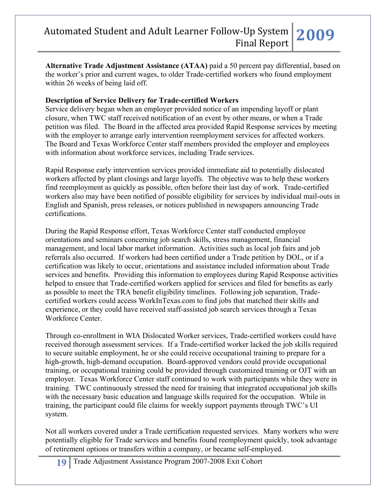**Alternative Trade Adjustment Assistance (ATAA)** paid a 50 percent pay differential, based on the worker's prior and current wages, to older Trade-certified workers who found employment within 26 weeks of being laid off.

### **Description of Service Delivery for Trade-certified Workers**

Service delivery began when an employer provided notice of an impending layoff or plant closure, when TWC staff received notification of an event by other means, or when a Trade petition was filed. The Board in the affected area provided Rapid Response services by meeting with the employer to arrange early intervention reemployment services for affected workers. The Board and Texas Workforce Center staff members provided the employer and employees with information about workforce services, including Trade services.

Rapid Response early intervention services provided immediate aid to potentially dislocated workers affected by plant closings and large layoffs. The objective was to help these workers find reemployment as quickly as possible, often before their last day of work. Trade-certified workers also may have been notified of possible eligibility for services by individual mail-outs in English and Spanish, press releases, or notices published in newspapers announcing Trade certifications.

During the Rapid Response effort, Texas Workforce Center staff conducted employee orientations and seminars concerning job search skills, stress management, financial management, and local labor market information. Activities such as local job fairs and job referrals also occurred. If workers had been certified under a Trade petition by DOL, or if a certification was likely to occur, orientations and assistance included information about Trade services and benefits. Providing this information to employees during Rapid Response activities helped to ensure that Trade-certified workers applied for services and filed for benefits as early as possible to meet the TRA benefit eligibility timelines. Following job separation, Tradecertified workers could access WorkInTexas.com to find jobs that matched their skills and experience, or they could have received staff-assisted job search services through a Texas Workforce Center.

Through co-enrollment in WIA Dislocated Worker services, Trade-certified workers could have received thorough assessment services. If a Trade-certified worker lacked the job skills required to secure suitable employment, he or she could receive occupational training to prepare for a high-growth, high-demand occupation. Board-approved vendors could provide occupational training, or occupational training could be provided through customized training or OJT with an employer. Texas Workforce Center staff continued to work with participants while they were in training. TWC continuously stressed the need for training that integrated occupational job skills with the necessary basic education and language skills required for the occupation. While in training, the participant could file claims for weekly support payments through TWC's UI system.

Not all workers covered under a Trade certification requested services. Many workers who were potentially eligible for Trade services and benefits found reemployment quickly, took advantage of retirement options or transfers within a company, or became self-employed.